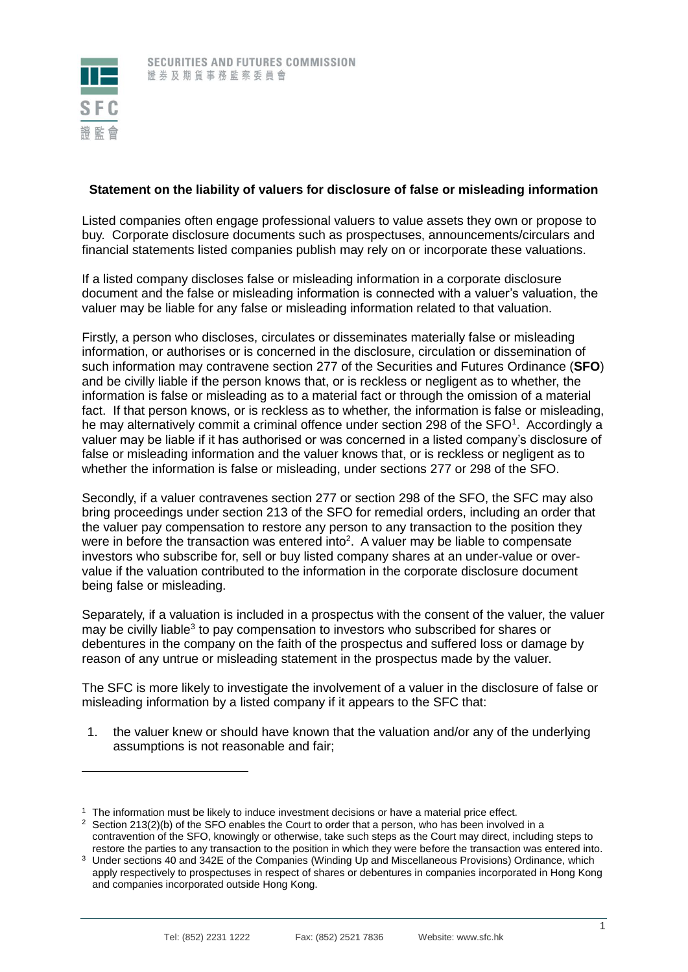

 $\overline{a}$ 

## **Statement on the liability of valuers for disclosure of false or misleading information**

Listed companies often engage professional valuers to value assets they own or propose to buy. Corporate disclosure documents such as prospectuses, announcements/circulars and financial statements listed companies publish may rely on or incorporate these valuations.

If a listed company discloses false or misleading information in a corporate disclosure document and the false or misleading information is connected with a valuer's valuation, the valuer may be liable for any false or misleading information related to that valuation.

Firstly, a person who discloses, circulates or disseminates materially false or misleading information, or authorises or is concerned in the disclosure, circulation or dissemination of such information may contravene section 277 of the Securities and Futures Ordinance (**SFO**) and be civilly liable if the person knows that, or is reckless or negligent as to whether, the information is false or misleading as to a material fact or through the omission of a material fact. If that person knows, or is reckless as to whether, the information is false or misleading, he may alternatively commit a criminal offence under section 298 of the SFO<sup>1</sup>. Accordingly a valuer may be liable if it has authorised or was concerned in a listed company's disclosure of false or misleading information and the valuer knows that, or is reckless or negligent as to whether the information is false or misleading, under sections 277 or 298 of the SFO.

Secondly, if a valuer contravenes section 277 or section 298 of the SFO, the SFC may also bring proceedings under section 213 of the SFO for remedial orders, including an order that the valuer pay compensation to restore any person to any transaction to the position they were in before the transaction was entered into<sup>2</sup>. A valuer may be liable to compensate investors who subscribe for, sell or buy listed company shares at an under-value or overvalue if the valuation contributed to the information in the corporate disclosure document being false or misleading.

Separately, if a valuation is included in a prospectus with the consent of the valuer, the valuer may be civilly liable<sup>3</sup> to pay compensation to investors who subscribed for shares or debentures in the company on the faith of the prospectus and suffered loss or damage by reason of any untrue or misleading statement in the prospectus made by the valuer.

The SFC is more likely to investigate the involvement of a valuer in the disclosure of false or misleading information by a listed company if it appears to the SFC that:

1. the valuer knew or should have known that the valuation and/or any of the underlying assumptions is not reasonable and fair;

<sup>1</sup> The information must be likely to induce investment decisions or have a material price effect.

<sup>&</sup>lt;sup>2</sup> Section 213(2)(b) of the SFO enables the Court to order that a person, who has been involved in a contravention of the SFO, knowingly or otherwise, take such steps as the Court may direct, including steps to restore the parties to any transaction to the position in which they were before the transaction was entered into.

<sup>&</sup>lt;sup>3</sup> Under sections 40 and 342E of the Companies (Winding Up and Miscellaneous Provisions) Ordinance, which apply respectively to prospectuses in respect of shares or debentures in companies incorporated in Hong Kong and companies incorporated outside Hong Kong.